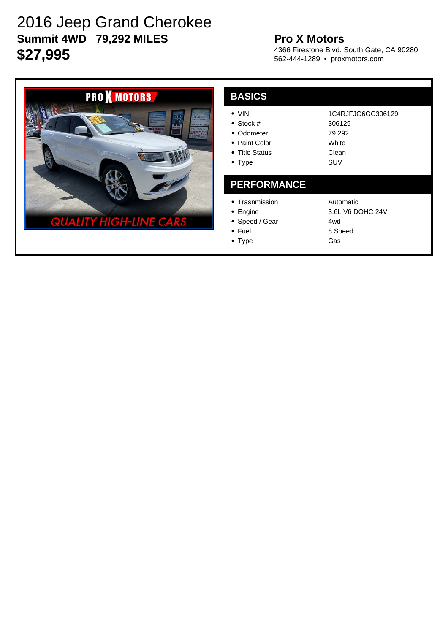# 2016 Jeep Grand Cherokee **Summit 4WD 79,292 MILES \$27,995**

### **Pro X Motors**

4366 Firestone Blvd. South Gate, CA 90280 562-444-1289 • proxmotors.com



#### **BASICS** VIN Stock # • Odometer • Paint Color • Title Status • Type 1C4RJFJG6GC306129 306129 79,292 White Clean SUV **PERFORMANCE** • Trasnmission • Engine • Speed / Gear • Fuel Automatic 3.6L V6 DOHC 24V 4wd

• Type

8 Speed Gas